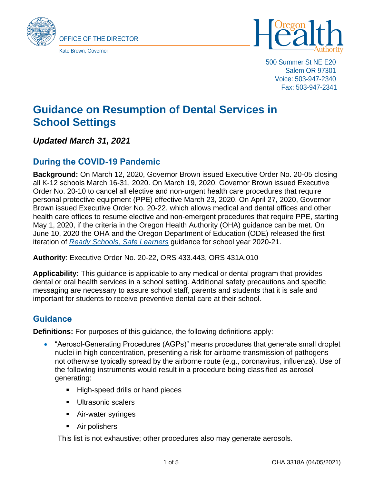



500 Summer St NE E20 Salem OR 97301 Voice: 503-947-2340 Fax: 503-947-2341

# **Guidance on Resumption of Dental Services in School Settings**

# *Updated March 31, 2021*

# **During the COVID-19 Pandemic**

**Background:** On March 12, 2020, Governor Brown issued Executive Order No. 20-05 closing all K-12 schools March 16-31, 2020. On March 19, 2020, Governor Brown issued Executive Order No. 20-10 to cancel all elective and non-urgent health care procedures that require personal protective equipment (PPE) effective March 23, 2020. On April 27, 2020, Governor Brown issued Executive Order No. 20-22, which allows medical and dental offices and other health care offices to resume elective and non-emergent procedures that require PPE, starting May 1, 2020, if the criteria in the Oregon Health Authority (OHA) guidance can be met. On June 10, 2020 the OHA and the Oregon Department of Education (ODE) released the first iteration of *[Ready Schools, Safe Learners](https://www.oregon.gov/ode/students-and-family/healthsafety/Pages/Planning-for-the-2020-21-School-Year.aspx)* guidance for school year 2020-21.

#### **Authority**: Executive Order No. 20-22, ORS 433.443, ORS 431A.010

**Applicability:** This guidance is applicable to any medical or dental program that provides dental or oral health services in a school setting. Additional safety precautions and specific messaging are necessary to assure school staff, parents and students that it is safe and important for students to receive preventive dental care at their school.

# **Guidance**

**Definitions:** For purposes of this guidance, the following definitions apply:

- "Aerosol-Generating Procedures (AGPs)" means procedures that generate small droplet nuclei in high concentration, presenting a risk for airborne transmission of pathogens not otherwise typically spread by the airborne route (e.g., coronavirus, influenza). Use of the following instruments would result in a procedure being classified as aerosol generating:
	- High-speed drills or hand pieces
	- Ultrasonic scalers
	- Air-water syringes
	- Air polishers

This list is not exhaustive; other procedures also may generate aerosols.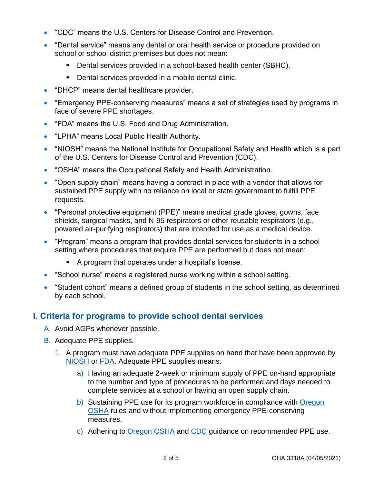- "CDC" means the U.S. Centers for Disease Control and Prevention.
- "Dental service" means any dental or oral health service or procedure provided on school or school district premises but does not mean:
	- Dental services provided in a school-based health center (SBHC).
	- Dental services provided in a mobile dental clinic.
- "DHCP" means dental healthcare provider.
- "Emergency PPE-conserving measures" means a set of strategies used by programs in face of severe PPE shortages.
- "FDA" means the U.S. Food and Drug Administration.
- "LPHA" means Local Public Health Authority.
- "NIOSH" means the National Institute for Occupational Safety and Health which is a part of the U.S. Centers for Disease Control and Prevention (CDC).
- "OSHA" means the Occupational Safety and Health Administration.
- "Open supply chain" means having a contract in place with a vendor that allows for sustained PPE supply with no reliance on local or state government to fulfill PPE requests.
- "Personal protective equipment (PPE)" means medical grade gloves, gowns, face shields, surgical masks, and N-95 respirators or other reusable respirators (e.g., powered air-purifying respirators) that are intended for use as a medical device.
- "Program" means a program that provides dental services for students in a school setting where procedures that require PPE are performed but does not mean:
	- A program that operates under a hospital's license.
- "School nurse" means a registered nurse working within a school setting.
- "Student cohort" means a defined group of students in the school setting, as determined by each school.

# **I. Criteria for programs to provide school dental services**

- A. Avoid AGPs whenever possible.
- B. Adequate PPE supplies.
	- 1. A program must have adequate PPE supplies on hand that have been approved by [NIOSH](https://www.cdc.gov/niosh/npptl/topics/respirators/disp_part/default.html) or [FDA.](https://www.fda.gov/medical-devices/general-hospital-devices-and-supplies/personal-protective-equipment-infection-control) Adequate PPE supplies means:
		- a) Having an adequate 2-week or minimum supply of PPE on-hand appropriate to the number and type of procedures to be performed and days needed to complete services at a school or having an open supply chain.
		- b) Sustaining PPE use for its program workforce in compliance with [Oregon](https://osha.oregon.gov/OSHAPubs/dentistry-ppe.pdf)  [OSHA](https://osha.oregon.gov/OSHAPubs/dentistry-ppe.pdf) rules and without implementing emergency PPE-conserving measures.
		- c) Adhering to [Oregon](https://osha.oregon.gov/OSHAPubs/dentistry-ppe.pdf) OSHA and [CDC](https://www.cdc.gov/oralhealth/infectioncontrol/statement-COVID.html) guidance on recommended PPE use.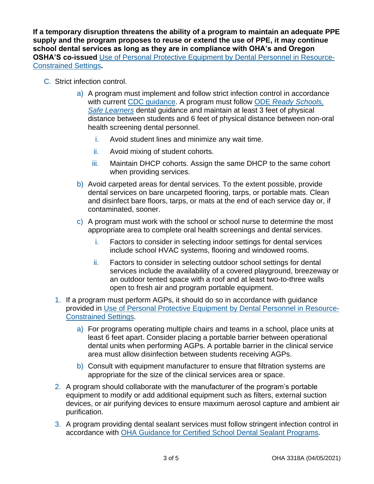**If a temporary disruption threatens the ability of a program to maintain an adequate PPE supply and the program proposes to reuse or extend the use of PPE, it may continue school dental services as long as they are in compliance with OHA's and Oregon OSHA'S co-issued** [Use of Personal Protective Equipment by Dental Personnel in Resource-](https://osha.oregon.gov/OSHAPubs/dentistry-ppe.pdf)[Constrained Settings](https://osha.oregon.gov/OSHAPubs/dentistry-ppe.pdf)**.**

- C. Strict infection control.
	- a) A program must implement and follow strict infection control in accordance with current [CDC guidance.](https://www.cdc.gov/coronavirus/2019-ncov/hcp/dental-settings.html) A program must follow ODE *[Ready Schools,](https://www.oregon.gov/ode/students-and-family/healthsafety/documents/ready%20schools%20safe%20learners%202020-21%20guidance.pdf)  [Safe Learners](https://www.oregon.gov/ode/students-and-family/healthsafety/documents/ready%20schools%20safe%20learners%202020-21%20guidance.pdf)* dental guidance and maintain at least 3 feet of physical distance between students and 6 feet of physical distance between non-oral health screening dental personnel.
		- i. Avoid student lines and minimize any wait time.
		- ii. Avoid mixing of student cohorts.
		- iii. Maintain DHCP cohorts. Assign the same DHCP to the same cohort when providing services.
	- b) Avoid carpeted areas for dental services. To the extent possible, provide dental services on bare uncarpeted flooring, tarps, or portable mats. Clean and disinfect bare floors, tarps, or mats at the end of each service day or, if contaminated, sooner.
	- c) A program must work with the school or school nurse to determine the most appropriate area to complete oral health screenings and dental services.
		- i. Factors to consider in selecting indoor settings for dental services include school HVAC systems, flooring and windowed rooms.
		- ii. Factors to consider in selecting outdoor school settings for dental services include the availability of a covered playground, breezeway or an outdoor tented space with a roof and at least two-to-three walls open to fresh air and program portable equipment.
	- 1. If a program must perform AGPs, it should do so in accordance with guidance provided in [Use of Personal Protective Equipment by Dental Personnel in Resource-](https://osha.oregon.gov/OSHAPubs/dentistry-ppe.pdf)[Constrained Settings.](https://osha.oregon.gov/OSHAPubs/dentistry-ppe.pdf)
		- a) For programs operating multiple chairs and teams in a school, place units at least 6 feet apart. Consider placing a portable barrier between operational dental units when performing AGPs. A portable barrier in the clinical service area must allow disinfection between students receiving AGPs.
		- b) Consult with equipment manufacturer to ensure that filtration systems are appropriate for the size of the clinical services area or space.
	- 2. A program should collaborate with the manufacturer of the program's portable equipment to modify or add additional equipment such as filters, external suction devices, or air purifying devices to ensure maximum aerosol capture and ambient air purification.
	- 3. A program providing dental sealant services must follow stringent infection control in accordance with [OHA Guidance for Certified School Dental Sealant Programs.](https://sharedsystems.dhsoha.state.or.us/DHSForms/Served/le3318.pdf)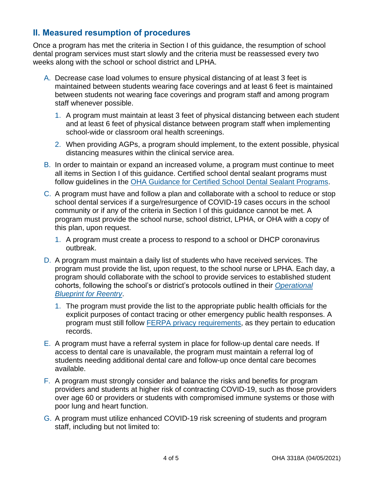# **II. Measured resumption of procedures**

Once a program has met the criteria in Section I of this guidance, the resumption of school dental program services must start slowly and the criteria must be reassessed every two weeks along with the school or school district and LPHA.

- A. Decrease case load volumes to ensure physical distancing of at least 3 feet is maintained between students wearing face coverings and at least 6 feet is maintained between students not wearing face coverings and program staff and among program staff whenever possible.
	- 1. A program must maintain at least 3 feet of physical distancing between each student and at least 6 feet of physical distance between program staff when implementing school-wide or classroom oral health screenings.
	- 2. When providing AGPs, a program should implement, to the extent possible, physical distancing measures within the clinical service area.
- B. In order to maintain or expand an increased volume, a program must continue to meet all items in Section I of this guidance. Certified school dental sealant programs must follow guidelines in the [OHA Guidance for Certified School Dental Sealant Programs.](https://sharedsystems.dhsoha.state.or.us/DHSForms/Served/le3318.pdf)
- C. A program must have and follow a plan and collaborate with a school to reduce or stop school dental services if a surge/resurgence of COVID-19 cases occurs in the school community or if any of the criteria in Section I of this guidance cannot be met. A program must provide the school nurse, school district, LPHA, or OHA with a copy of this plan, upon request.
	- 1. A program must create a process to respond to a school or DHCP coronavirus outbreak.
- D. A program must maintain a daily list of students who have received services. The program must provide the list, upon request, to the school nurse or LPHA. Each day, a program should collaborate with the school to provide services to established student cohorts, following the school's or district's protocols outlined in their *[Operational](https://www.oregon.gov/ode/students-and-family/healthsafety/Pages/2020SYDistrictPlanningLinks.aspx)  [Blueprint for Reentry](https://www.oregon.gov/ode/students-and-family/healthsafety/Pages/2020SYDistrictPlanningLinks.aspx)*.
	- 1. The program must provide the list to the appropriate public health officials for the explicit purposes of contact tracing or other emergency public health responses. A program must still follow [FERPA privacy requirements,](https://www2.ed.gov/policy/gen/guid/fpco/ferpa/index.html) as they pertain to education records.
- E. A program must have a referral system in place for follow-up dental care needs. If access to dental care is unavailable, the program must maintain a referral log of students needing additional dental care and follow-up once dental care becomes available.
- F. A program must strongly consider and balance the risks and benefits for program providers and students at higher risk of contracting COVID-19, such as those providers over age 60 or providers or students with compromised immune systems or those with poor lung and heart function.
- G. A program must utilize enhanced COVID-19 risk screening of students and program staff, including but not limited to: